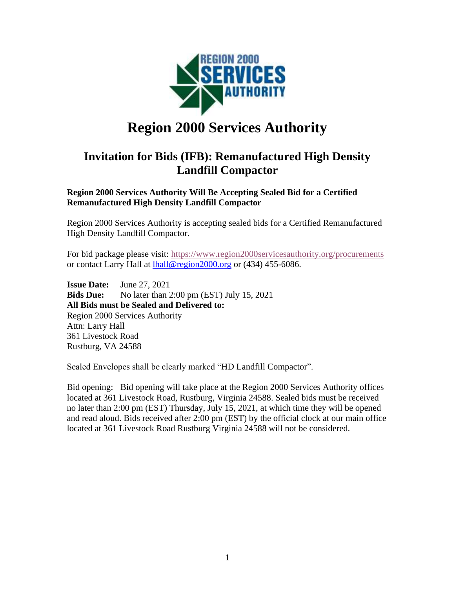

# **Region 2000 Services Authority**

# **Invitation for Bids (IFB): Remanufactured High Density Landfill Compactor**

**Region 2000 Services Authority Will Be Accepting Sealed Bid for a Certified Remanufactured High Density Landfill Compactor** 

Region 2000 Services Authority is accepting sealed bids for a Certified Remanufactured High Density Landfill Compactor.

For bid package please visit:<https://www.region2000servicesauthority.org/procurements> or contact Larry Hall at **hall@region2000.org** or (434) 455-6086.

**Issue Date:** June 27, 2021 **Bids Due:** No later than 2:00 pm (EST) July 15, 2021 **All Bids must be Sealed and Delivered to:** Region 2000 Services Authority Attn: Larry Hall 361 Livestock Road Rustburg, VA 24588

Sealed Envelopes shall be clearly marked "HD Landfill Compactor".

Bid opening: Bid opening will take place at the Region 2000 Services Authority offices located at 361 Livestock Road, Rustburg, Virginia 24588. Sealed bids must be received no later than 2:00 pm (EST) Thursday, July 15, 2021, at which time they will be opened and read aloud. Bids received after 2:00 pm (EST) by the official clock at our main office located at 361 Livestock Road Rustburg Virginia 24588 will not be considered.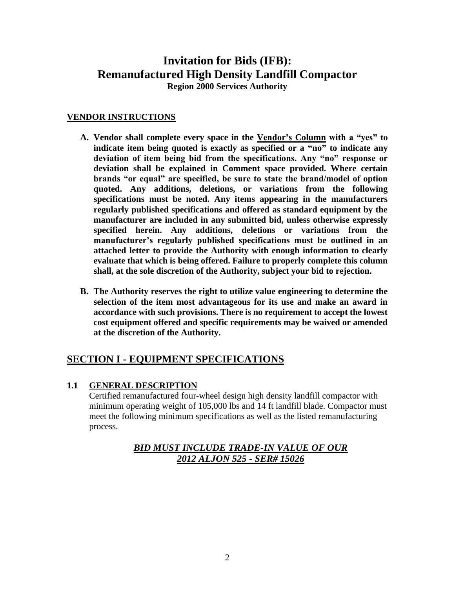# **Invitation for Bids (IFB): Remanufactured High Density Landfill Compactor**

**Region 2000 Services Authority**

#### **VENDOR INSTRUCTIONS**

- **A. Vendor shall complete every space in the Vendor's Column with a "yes" to indicate item being quoted is exactly as specified or a "no" to indicate any deviation of item being bid from the specifications. Any "no" response or deviation shall be explained in Comment space provided. Where certain brands "or equal" are specified, be sure to state the brand/model of option quoted. Any additions, deletions, or variations from the following specifications must be noted. Any items appearing in the manufacturers regularly published specifications and offered as standard equipment by the manufacturer are included in any submitted bid, unless otherwise expressly specified herein. Any additions, deletions or variations from the manufacturer's regularly published specifications must be outlined in an attached letter to provide the Authority with enough information to clearly evaluate that which is being offered. Failure to properly complete this column shall, at the sole discretion of the Authority, subject your bid to rejection.**
- **B. The Authority reserves the right to utilize value engineering to determine the selection of the item most advantageous for its use and make an award in accordance with such provisions. There is no requirement to accept the lowest cost equipment offered and specific requirements may be waived or amended at the discretion of the Authority.**

## **SECTION I - EQUIPMENT SPECIFICATIONS**

#### **1.1 GENERAL DESCRIPTION**

Certified remanufactured four-wheel design high density landfill compactor with minimum operating weight of 105,000 lbs and 14 ft landfill blade. Compactor must meet the following minimum specifications as well as the listed remanufacturing process.

## *BID MUST INCLUDE TRADE-IN VALUE OF OUR 2012 ALJON 525 - SER# 15026*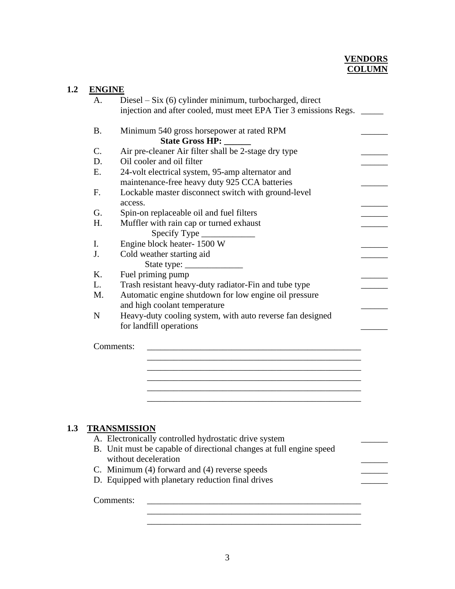#### **VENDORS COLUMN**

| <b>ENGINE</b>  |                                                                     |
|----------------|---------------------------------------------------------------------|
| A.             | Diesel $-$ Six $(6)$ cylinder minimum, turbocharged, direct         |
|                | injection and after cooled, must meet EPA Tier 3 emissions Regs.    |
| <b>B.</b>      | Minimum 540 gross horsepower at rated RPM                           |
|                | <b>State Gross HP:</b>                                              |
| $\mathbf{C}$ . | Air pre-cleaner Air filter shall be 2-stage dry type                |
| D.             | Oil cooler and oil filter                                           |
| E.             | 24-volt electrical system, 95-amp alternator and                    |
|                | maintenance-free heavy duty 925 CCA batteries                       |
| F.             | Lockable master disconnect switch with ground-level                 |
|                | access.                                                             |
| G.             | Spin-on replaceable oil and fuel filters                            |
| H.             | Muffler with rain cap or turned exhaust                             |
|                | Specify Type ________                                               |
| $\mathbf{I}$ . | Engine block heater-1500 W                                          |
| J.             | Cold weather starting aid                                           |
|                |                                                                     |
| K.             | Fuel priming pump                                                   |
| L.             | Trash resistant heavy-duty radiator-Fin and tube type               |
| M.             | Automatic engine shutdown for low engine oil pressure               |
|                | and high coolant temperature                                        |
| ${\bf N}$      | Heavy-duty cooling system, with auto reverse fan designed           |
|                | for landfill operations                                             |
|                | Comments:                                                           |
|                |                                                                     |
|                |                                                                     |
|                |                                                                     |
|                |                                                                     |
|                |                                                                     |
|                |                                                                     |
|                |                                                                     |
|                | <b>TRANSMISSION</b>                                                 |
|                | A. Electronically controlled hydrostatic drive system               |
|                | B. Unit must be capable of directional changes at full engine speed |
|                | without deceleration                                                |

C. Minimum (4) forward and (4) reverse speeds \_\_\_\_\_\_

D. Equipped with planetary reduction final drives

Comments: \_\_\_\_\_\_\_\_\_\_\_\_\_\_\_\_\_\_\_\_\_\_\_\_\_\_\_\_\_\_\_\_\_\_\_\_\_\_\_\_\_\_\_\_\_\_\_\_

\_\_\_\_\_\_\_\_\_\_\_\_\_\_\_\_\_\_\_\_\_\_\_\_\_\_\_\_\_\_\_\_\_\_\_\_\_\_\_\_\_\_\_\_\_\_\_\_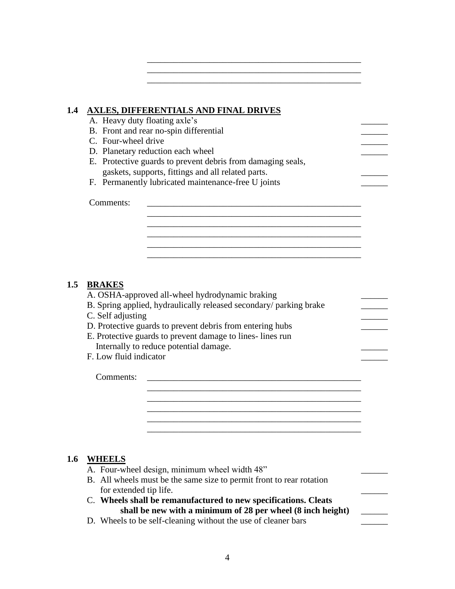#### **1.4 AXLES, DIFFERENTIALS AND FINAL DRIVES**

A. Heavy duty floating axle's B. Front and rear no-spin differential C. Four-wheel drive D. Planetary reduction each wheel E. Protective guards to prevent debris from damaging seals, gaskets, supports, fittings and all related parts. \_\_\_\_\_\_

\_\_\_\_\_\_\_\_\_\_\_\_\_\_\_\_\_\_\_\_\_\_\_\_\_\_\_\_\_\_\_\_\_\_\_\_\_\_\_\_\_\_\_\_\_\_\_\_

\_\_\_\_\_\_\_\_\_\_\_\_\_\_\_\_\_\_\_\_\_\_\_\_\_\_\_\_\_\_\_\_\_\_\_\_\_\_\_\_\_\_\_\_\_\_\_\_

\_\_\_\_\_\_\_\_\_\_\_\_\_\_\_\_\_\_\_\_\_\_\_\_\_\_\_\_\_\_\_\_\_\_\_\_\_\_\_\_\_\_\_\_\_\_\_\_

\_\_\_\_\_\_\_\_\_\_\_\_\_\_\_\_\_\_\_\_\_\_\_\_\_\_\_\_\_\_\_\_\_\_\_\_\_\_\_\_\_\_\_\_\_\_\_\_

\_\_\_\_\_\_\_\_\_\_\_\_\_\_\_\_\_\_\_\_\_\_\_\_\_\_\_\_\_\_\_\_\_\_\_\_\_\_\_\_\_\_\_\_\_\_\_\_

\_\_\_\_\_\_\_\_\_\_\_\_\_\_\_\_\_\_\_\_\_\_\_\_\_\_\_\_\_\_\_\_\_\_\_\_\_\_\_\_\_\_\_\_\_\_\_\_ \_\_\_\_\_\_\_\_\_\_\_\_\_\_\_\_\_\_\_\_\_\_\_\_\_\_\_\_\_\_\_\_\_\_\_\_\_\_\_\_\_\_\_\_\_\_\_\_ \_\_\_\_\_\_\_\_\_\_\_\_\_\_\_\_\_\_\_\_\_\_\_\_\_\_\_\_\_\_\_\_\_\_\_\_\_\_\_\_\_\_\_\_\_\_\_\_ \_\_\_\_\_\_\_\_\_\_\_\_\_\_\_\_\_\_\_\_\_\_\_\_\_\_\_\_\_\_\_\_\_\_\_\_\_\_\_\_\_\_\_\_\_\_\_\_

F. Permanently lubricated maintenance-free U joints

Comments: \_\_\_\_\_\_\_\_\_\_\_\_\_\_\_\_\_\_\_\_\_\_\_\_\_\_\_\_\_\_\_\_\_\_\_\_\_\_\_\_\_\_\_\_\_\_\_\_

#### **1.5 BRAKES**

A. OSHA-approved all-wheel hydrodynamic braking

- B. Spring applied, hydraulically released secondary/ parking brake
- C. Self adjusting
- D. Protective guards to prevent debris from entering hubs
- E. Protective guards to prevent damage to lines- lines run Internally to reduce potential damage.
- F. Low fluid indicator

Comments:

#### **1.6 WHEELS**

A. Four-wheel design, minimum wheel width 48" B. All wheels must be the same size to permit front to rear rotation for extended tip life. C. **Wheels shall be remanufactured to new specifications. Cleats shall be new with a minimum of 28 per wheel (8 inch height)** \_\_\_\_\_\_ D. Wheels to be self-cleaning without the use of cleaner bars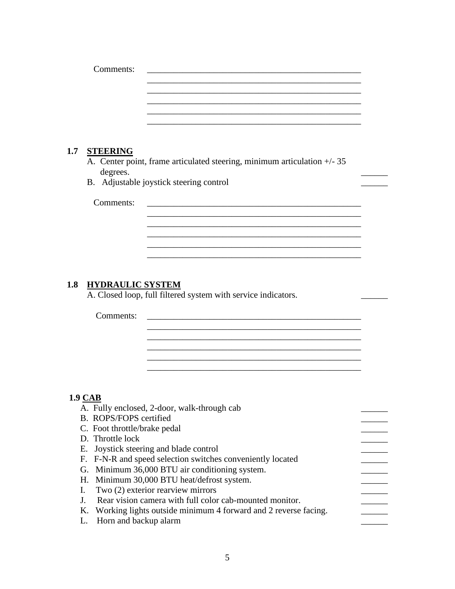|     | Comments:               |                                                                          |  |
|-----|-------------------------|--------------------------------------------------------------------------|--|
|     |                         |                                                                          |  |
|     |                         |                                                                          |  |
|     |                         |                                                                          |  |
|     |                         |                                                                          |  |
| 1.7 | <b>STEERING</b>         |                                                                          |  |
|     |                         | A. Center point, frame articulated steering, minimum articulation +/- 35 |  |
|     | degrees.                | B. Adjustable joystick steering control                                  |  |
|     | Comments:               |                                                                          |  |
|     |                         |                                                                          |  |
|     |                         |                                                                          |  |
|     |                         |                                                                          |  |
|     |                         |                                                                          |  |
|     |                         |                                                                          |  |
| 1.8 | <b>HYDRAULIC SYSTEM</b> |                                                                          |  |
|     |                         | A. Closed loop, full filtered system with service indicators.            |  |
|     | Comments:               |                                                                          |  |

# **1.9 CAB**

| A. Fully enclosed, 2-door, walk-through cab                       |  |
|-------------------------------------------------------------------|--|
| B. ROPS/FOPS certified                                            |  |
| C. Foot throttle/brake pedal                                      |  |
| D. Throttle lock                                                  |  |
| E. Joystick steering and blade control                            |  |
| F. F-N-R and speed selection switches conveniently located        |  |
| G. Minimum 36,000 BTU air conditioning system.                    |  |
| H. Minimum 30,000 BTU heat/defrost system.                        |  |
| I. Two $(2)$ exterior rearview mirrors                            |  |
| J. Rear vision camera with full color cab-mounted monitor.        |  |
| K. Working lights outside minimum 4 forward and 2 reverse facing. |  |
| L. Horn and backup alarm                                          |  |
|                                                                   |  |

\_\_\_\_\_\_\_\_\_\_\_\_\_\_\_\_\_\_\_\_\_\_\_\_\_\_\_\_\_\_\_\_\_\_\_\_\_\_\_\_\_\_\_\_\_\_\_\_ \_\_\_\_\_\_\_\_\_\_\_\_\_\_\_\_\_\_\_\_\_\_\_\_\_\_\_\_\_\_\_\_\_\_\_\_\_\_\_\_\_\_\_\_\_\_\_\_ \_\_\_\_\_\_\_\_\_\_\_\_\_\_\_\_\_\_\_\_\_\_\_\_\_\_\_\_\_\_\_\_\_\_\_\_\_\_\_\_\_\_\_\_\_\_\_\_

\_\_\_\_\_\_\_\_\_\_\_\_\_\_\_\_\_\_\_\_\_\_\_\_\_\_\_\_\_\_\_\_\_\_\_\_\_\_\_\_\_\_\_\_\_\_\_\_ \_\_\_\_\_\_\_\_\_\_\_\_\_\_\_\_\_\_\_\_\_\_\_\_\_\_\_\_\_\_\_\_\_\_\_\_\_\_\_\_\_\_\_\_\_\_\_\_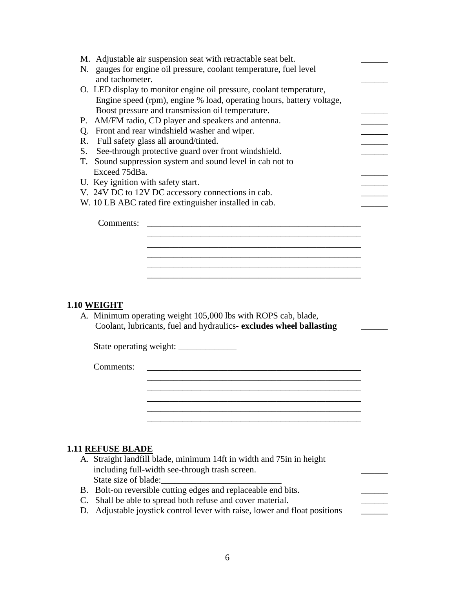| M. Adjustable air suspension seat with retractable seat belt.         |  |
|-----------------------------------------------------------------------|--|
| gauges for engine oil pressure, coolant temperature, fuel level<br>N. |  |
| and tachometer.                                                       |  |
| O. LED display to monitor engine oil pressure, coolant temperature,   |  |
| Engine speed (rpm), engine % load, operating hours, battery voltage,  |  |
| Boost pressure and transmission oil temperature.                      |  |
| AM/FM radio, CD player and speakers and antenna.<br>Р.                |  |
| Front and rear windshield washer and wiper.<br>О.                     |  |
| Full safety glass all around/tinted.<br>R.                            |  |
| See-through protective guard over front windshield.<br>S.             |  |
| T. Sound suppression system and sound level in cab not to             |  |
| Exceed 75dBa.                                                         |  |
| U. Key ignition with safety start.                                    |  |
| V. 24V DC to 12V DC accessory connections in cab.                     |  |
| W. 10 LB ABC rated fire extinguisher installed in cab.                |  |
|                                                                       |  |
| Comments:                                                             |  |
|                                                                       |  |
|                                                                       |  |
|                                                                       |  |
|                                                                       |  |
|                                                                       |  |
|                                                                       |  |

#### **1.10 WEIGHT**

A. Minimum operating weight 105,000 lbs with ROPS cab, blade, Coolant, lubricants, fuel and hydraulics- **excludes wheel ballasting** \_\_\_\_\_\_

\_\_\_\_\_\_\_\_\_\_\_\_\_\_\_\_\_\_\_\_\_\_\_\_\_\_\_\_\_\_\_\_\_\_\_\_\_\_\_\_\_\_\_\_\_\_\_\_

\_\_\_\_\_\_\_\_\_\_\_\_\_\_\_\_\_\_\_\_\_\_\_\_\_\_\_\_\_\_\_\_\_\_\_\_\_\_\_\_\_\_\_\_\_\_\_\_

State operating weight: \_\_\_\_\_\_\_\_\_\_\_\_\_

Comments: \_\_\_\_\_\_\_\_\_\_\_\_\_\_\_\_\_\_\_\_\_\_\_\_\_\_\_\_\_\_\_\_\_\_\_\_\_\_\_\_\_\_\_\_\_\_\_\_

#### **1.11 REFUSE BLADE**

- A. Straight landfill blade, minimum 14ft in width and 75in in height including full-width see-through trash screen. State size of blade:
- B. Bolt-on reversible cutting edges and replaceable end bits.
- C. Shall be able to spread both refuse and cover material.
- D. Adjustable joystick control lever with raise, lower and float positions \_\_\_\_\_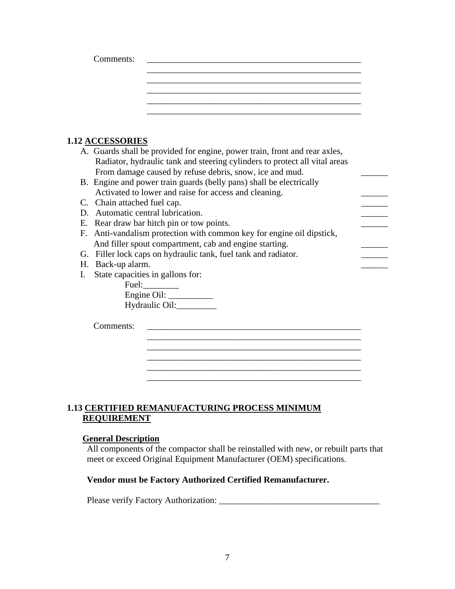|  | <u> 1980 - Jan Barbara, manazarta da kasas da shekara 1980 - Ang Barbara na Barbara na Barbara na Barbara na Barba</u> |  |
|--|------------------------------------------------------------------------------------------------------------------------|--|

## **1.12 ACCESSORIES**

|    | 1,12 AUUDDUNIED                                                            |  |
|----|----------------------------------------------------------------------------|--|
|    | A. Guards shall be provided for engine, power train, front and rear axles, |  |
|    | Radiator, hydraulic tank and steering cylinders to protect all vital areas |  |
|    | From damage caused by refuse debris, snow, ice and mud.                    |  |
|    | B. Engine and power train guards (belly pans) shall be electrically        |  |
|    | Activated to lower and raise for access and cleaning.                      |  |
|    | C. Chain attached fuel cap.                                                |  |
|    | D. Automatic central lubrication.                                          |  |
|    | E. Rear draw bar hitch pin or tow points.                                  |  |
|    | F. Anti-vandalism protection with common key for engine oil dipstick,      |  |
|    | And filler spout compartment, cab and engine starting.                     |  |
|    | G. Filler lock caps on hydraulic tank, fuel tank and radiator.             |  |
|    | H. Back-up alarm.                                                          |  |
| L. | State capacities in gallons for:                                           |  |
|    |                                                                            |  |
|    |                                                                            |  |
|    | Hydraulic Oil:                                                             |  |
|    |                                                                            |  |
|    | Comments:                                                                  |  |
|    |                                                                            |  |
|    |                                                                            |  |
|    |                                                                            |  |
|    |                                                                            |  |

#### **1.13 CERTIFIED REMANUFACTURING PROCESS MINIMUM REQUIREMENT**

#### **General Description**

All components of the compactor shall be reinstalled with new, or rebuilt parts that meet or exceed Original Equipment Manufacturer (OEM) specifications.

\_\_\_\_\_\_\_\_\_\_\_\_\_\_\_\_\_\_\_\_\_\_\_\_\_\_\_\_\_\_\_\_\_\_\_\_\_\_\_\_\_\_\_\_\_\_\_\_

### **Vendor must be Factory Authorized Certified Remanufacturer.**

Please verify Factory Authorization: \_\_\_\_\_\_\_\_\_\_\_\_\_\_\_\_\_\_\_\_\_\_\_\_\_\_\_\_\_\_\_\_\_\_\_\_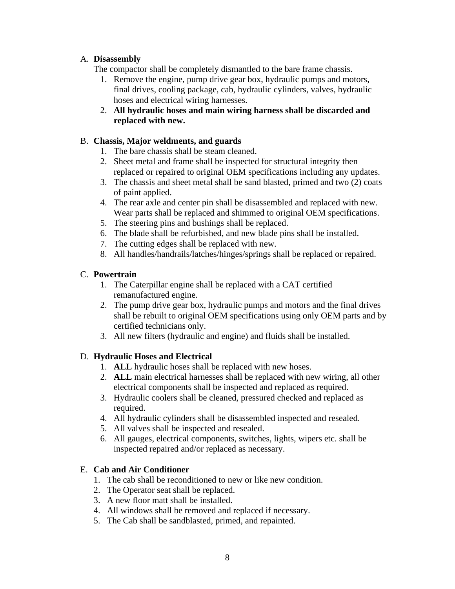#### A. **Disassembly**

The compactor shall be completely dismantled to the bare frame chassis.

- 1. Remove the engine, pump drive gear box, hydraulic pumps and motors, final drives, cooling package, cab, hydraulic cylinders, valves, hydraulic hoses and electrical wiring harnesses.
- 2. **All hydraulic hoses and main wiring harness shall be discarded and replaced with new.**

#### B. **Chassis, Major weldments, and guards**

- 1. The bare chassis shall be steam cleaned.
- 2. Sheet metal and frame shall be inspected for structural integrity then replaced or repaired to original OEM specifications including any updates.
- 3. The chassis and sheet metal shall be sand blasted, primed and two (2) coats of paint applied.
- 4. The rear axle and center pin shall be disassembled and replaced with new. Wear parts shall be replaced and shimmed to original OEM specifications.
- 5. The steering pins and bushings shall be replaced.
- 6. The blade shall be refurbished, and new blade pins shall be installed.
- 7. The cutting edges shall be replaced with new.
- 8. All handles/handrails/latches/hinges/springs shall be replaced or repaired.

#### C. **Powertrain**

- 1. The Caterpillar engine shall be replaced with a CAT certified remanufactured engine.
- 2. The pump drive gear box, hydraulic pumps and motors and the final drives shall be rebuilt to original OEM specifications using only OEM parts and by certified technicians only.
- 3. All new filters (hydraulic and engine) and fluids shall be installed.

#### D. **Hydraulic Hoses and Electrical**

- 1. **ALL** hydraulic hoses shall be replaced with new hoses.
- 2. **ALL** main electrical harnesses shall be replaced with new wiring, all other electrical components shall be inspected and replaced as required.
- 3. Hydraulic coolers shall be cleaned, pressured checked and replaced as required.
- 4. All hydraulic cylinders shall be disassembled inspected and resealed.
- 5. All valves shall be inspected and resealed.
- 6. All gauges, electrical components, switches, lights, wipers etc. shall be inspected repaired and/or replaced as necessary.

#### E. **Cab and Air Conditioner**

- 1. The cab shall be reconditioned to new or like new condition.
- 2. The Operator seat shall be replaced.
- 3. A new floor matt shall be installed.
- 4. All windows shall be removed and replaced if necessary.
- 5. The Cab shall be sandblasted, primed, and repainted.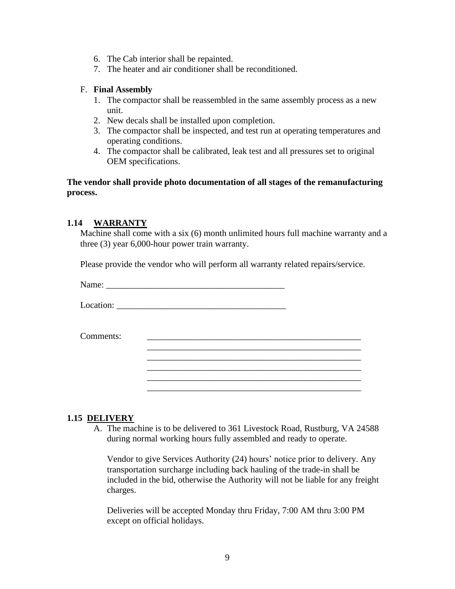- 6. The Cab interior shall be repainted.
- 7. The heater and air conditioner shall be reconditioned.

#### F. **Final Assembly**

- 1. The compactor shall be reassembled in the same assembly process as a new unit.
- 2. New decals shall be installed upon completion.
- 3. The compactor shall be inspected, and test run at operating temperatures and operating conditions.
- 4. The compactor shall be calibrated, leak test and all pressures set to original OEM specifications.

**The vendor shall provide photo documentation of all stages of the remanufacturing process.**

#### **1.14 WARRANTY**

Machine shall come with a six (6) month unlimited hours full machine warranty and a three (3) year 6,000-hour power train warranty.

Please provide the vendor who will perform all warranty related repairs/service.

| Name:<br>the contract of the contract of the |  |
|----------------------------------------------|--|
|                                              |  |

Location: \_\_\_\_\_\_\_\_\_\_\_\_\_\_\_\_\_\_\_\_\_\_\_\_\_\_\_\_\_\_\_\_\_\_\_\_\_\_

Comments:

|  | 1.15 DELIVERY                                                               |
|--|-----------------------------------------------------------------------------|
|  | A. The machine is to be delivered to 361 Livestock Road, Rustburg, VA 24588 |

during normal working hours fully assembled and ready to operate.

Vendor to give Services Authority (24) hours' notice prior to delivery. Any transportation surcharge including back hauling of the trade-in shall be included in the bid, otherwise the Authority will not be liable for any freight charges.

\_\_\_\_\_\_\_\_\_\_\_\_\_\_\_\_\_\_\_\_\_\_\_\_\_\_\_\_\_\_\_\_\_\_\_\_\_\_\_\_\_\_\_\_\_\_\_\_ \_\_\_\_\_\_\_\_\_\_\_\_\_\_\_\_\_\_\_\_\_\_\_\_\_\_\_\_\_\_\_\_\_\_\_\_\_\_\_\_\_\_\_\_\_\_\_\_ \_\_\_\_\_\_\_\_\_\_\_\_\_\_\_\_\_\_\_\_\_\_\_\_\_\_\_\_\_\_\_\_\_\_\_\_\_\_\_\_\_\_\_\_\_\_\_\_ \_\_\_\_\_\_\_\_\_\_\_\_\_\_\_\_\_\_\_\_\_\_\_\_\_\_\_\_\_\_\_\_\_\_\_\_\_\_\_\_\_\_\_\_\_\_\_\_ \_\_\_\_\_\_\_\_\_\_\_\_\_\_\_\_\_\_\_\_\_\_\_\_\_\_\_\_\_\_\_\_\_\_\_\_\_\_\_\_\_\_\_\_\_\_\_\_

Deliveries will be accepted Monday thru Friday, 7:00 AM thru 3:00 PM except on official holidays.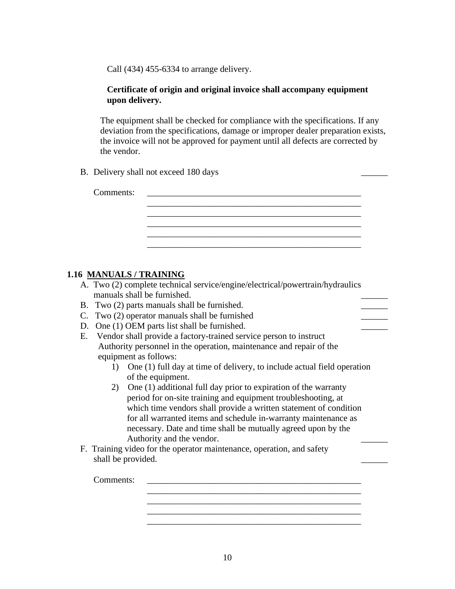Call (434) 455-6334 to arrange delivery.

#### **Certificate of origin and original invoice shall accompany equipment upon delivery.**

The equipment shall be checked for compliance with the specifications. If any deviation from the specifications, damage or improper dealer preparation exists, the invoice will not be approved for payment until all defects are corrected by the vendor.

B. Delivery shall not exceed 180 days

| Comments: | the control of the control of the |
|-----------|-----------------------------------|
|           |                                   |
|           |                                   |
|           |                                   |

#### **1.16 MANUALS / TRAINING**

- A. Two (2) complete technical service/engine/electrical/powertrain/hydraulics manuals shall be furnished.
- B. Two (2) parts manuals shall be furnished.
- C. Two  $(2)$  operator manuals shall be furnished
- D. One (1) OEM parts list shall be furnished.
- E. Vendor shall provide a factory-trained service person to instruct Authority personnel in the operation, maintenance and repair of the equipment as follows:
	- 1) One (1) full day at time of delivery, to include actual field operation of the equipment.
	- 2) One (1) additional full day prior to expiration of the warranty period for on-site training and equipment troubleshooting, at which time vendors shall provide a written statement of condition for all warranted items and schedule in-warranty maintenance as necessary. Date and time shall be mutually agreed upon by the Authority and the vendor.
- F. Training video for the operator maintenance, operation, and safety shall be provided.

Comments:

\_\_\_\_\_\_\_\_\_\_\_\_\_\_\_\_\_\_\_\_\_\_\_\_\_\_\_\_\_\_\_\_\_\_\_\_\_\_\_\_\_\_\_\_\_\_\_\_ \_\_\_\_\_\_\_\_\_\_\_\_\_\_\_\_\_\_\_\_\_\_\_\_\_\_\_\_\_\_\_\_\_\_\_\_\_\_\_\_\_\_\_\_\_\_\_\_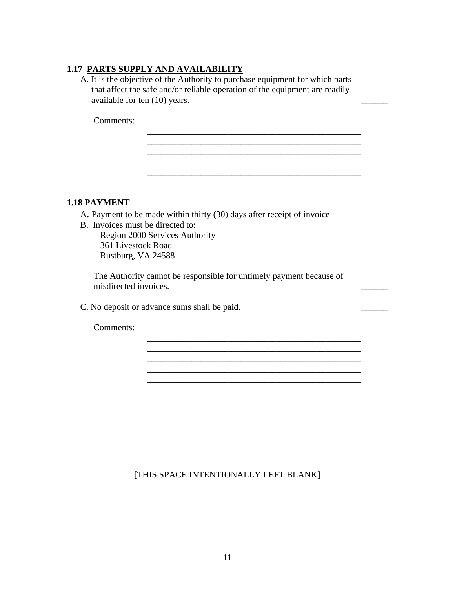## **1.17 PARTS SUPPLY AND AVAILABILITY**

A. It is the objective of the Authority to purchase equipment for which parts that affect the safe and/or reliable operation of the equipment are readily available for ten (10) years.

> \_\_\_\_\_\_\_\_\_\_\_\_\_\_\_\_\_\_\_\_\_\_\_\_\_\_\_\_\_\_\_\_\_\_\_\_\_\_\_\_\_\_\_\_\_\_\_\_ \_\_\_\_\_\_\_\_\_\_\_\_\_\_\_\_\_\_\_\_\_\_\_\_\_\_\_\_\_\_\_\_\_\_\_\_\_\_\_\_\_\_\_\_\_\_\_\_ \_\_\_\_\_\_\_\_\_\_\_\_\_\_\_\_\_\_\_\_\_\_\_\_\_\_\_\_\_\_\_\_\_\_\_\_\_\_\_\_\_\_\_\_\_\_\_\_

> \_\_\_\_\_\_\_\_\_\_\_\_\_\_\_\_\_\_\_\_\_\_\_\_\_\_\_\_\_\_\_\_\_\_\_\_\_\_\_\_\_\_\_\_\_\_\_\_

\_\_\_\_\_\_\_\_\_\_\_\_\_\_\_\_\_\_\_\_\_\_\_\_\_\_\_\_\_\_\_\_\_\_\_\_\_\_\_\_\_\_\_\_\_\_\_\_ \_\_\_\_\_\_\_\_\_\_\_\_\_\_\_\_\_\_\_\_\_\_\_\_\_\_\_\_\_\_\_\_\_\_\_\_\_\_\_\_\_\_\_\_\_\_\_\_

\_\_\_\_\_\_\_\_\_\_\_\_\_\_\_\_\_\_\_\_\_\_\_\_\_\_\_\_\_\_\_\_\_\_\_\_\_\_\_\_\_\_\_\_\_\_\_\_

Comments: \_\_\_\_\_\_\_\_\_\_\_\_\_\_\_\_\_\_\_\_\_\_\_\_\_\_\_\_\_\_\_\_\_\_\_\_\_\_\_\_\_\_\_\_\_\_\_\_

#### **1.18 PAYMENT**

A. Payment to be made within thirty (30) days after receipt of invoice

B. Invoices must be directed to:

Region 2000 Services Authority 361 Livestock Road Rustburg, VA 24588

The Authority cannot be responsible for untimely payment because of misdirected invoices. \_\_\_\_\_\_

C. No deposit or advance sums shall be paid.

Comments:

#### [THIS SPACE INTENTIONALLY LEFT BLANK]